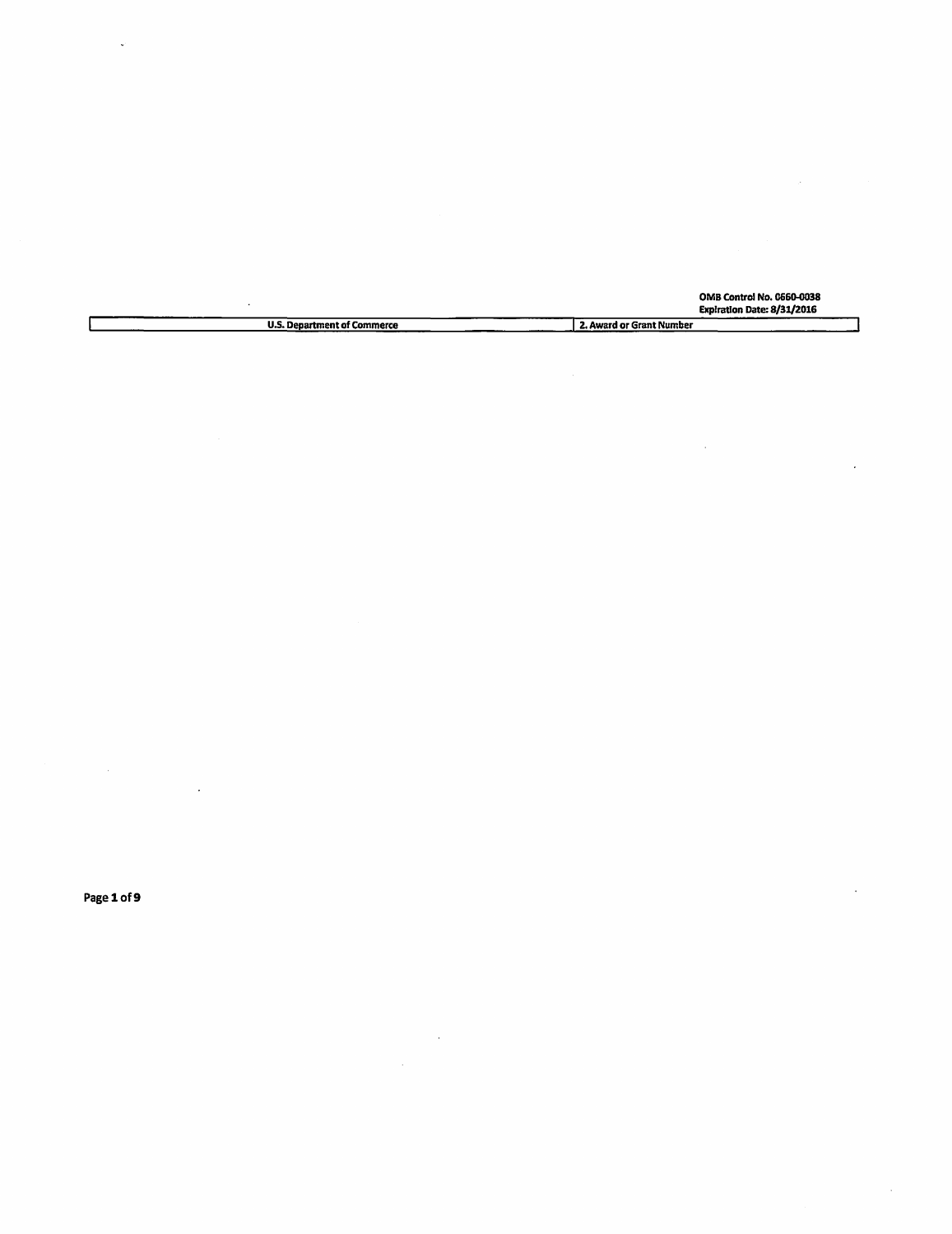|                                    | <b>OMB Control No. 0660-0038</b><br>Expiration Date: 8/31/2016 |
|------------------------------------|----------------------------------------------------------------|
| <b>U.S. Department of Commerce</b> | 2. Award or Grant Number                                       |

Page 1 of 9

 $\sim$ 

 $\ddot{\phantom{0}}$ 

 $\ddot{\phantom{a}}$ 

 $\sim 10^7$ 

 $\mathcal{A}$ 

 $\bar{z}$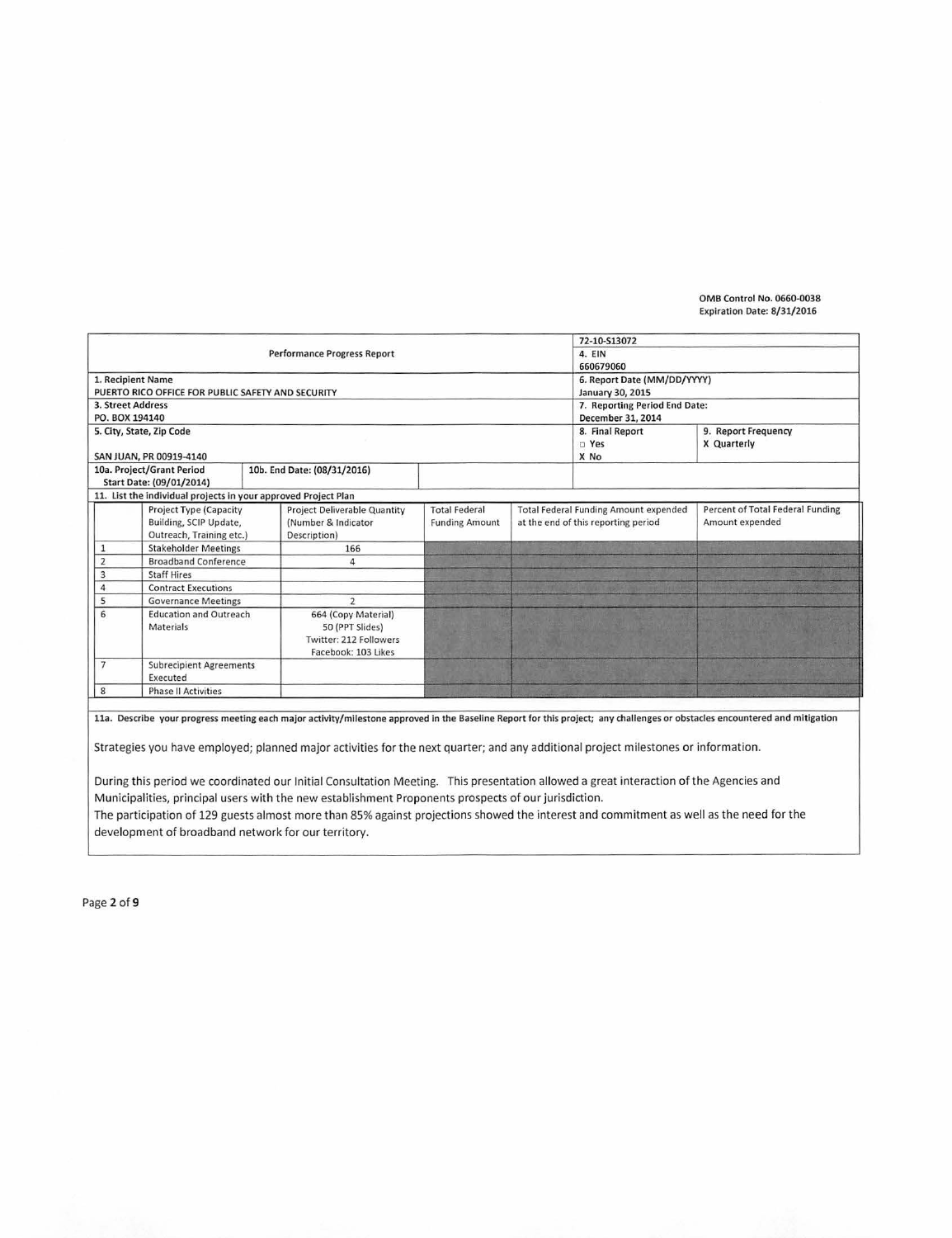|                                                              |                                                   |                                                                | 72-10-S13072                  |                                              |                     |                                  |
|--------------------------------------------------------------|---------------------------------------------------|----------------------------------------------------------------|-------------------------------|----------------------------------------------|---------------------|----------------------------------|
|                                                              |                                                   | Performance Progress Report                                    | 4. EIN                        |                                              |                     |                                  |
|                                                              |                                                   |                                                                | 660679060                     |                                              |                     |                                  |
|                                                              | 1. Recipient Name                                 |                                                                | 6. Report Date (MM/DD/YYYY)   |                                              |                     |                                  |
|                                                              | PUERTO RICO OFFICE FOR PUBLIC SAFETY AND SECURITY |                                                                |                               | January 30, 2015                             |                     |                                  |
|                                                              | 3. Street Address                                 |                                                                | 7. Reporting Period End Date: |                                              |                     |                                  |
| PO. BOX 194140                                               |                                                   |                                                                |                               | December 31, 2014                            |                     |                                  |
|                                                              | 5. City, State, Zip Code                          |                                                                |                               | 8. Final Report                              | 9. Report Frequency |                                  |
|                                                              |                                                   |                                                                |                               |                                              | D Yes               | X Quarterly                      |
|                                                              | SAN JUAN, PR 00919-4140                           |                                                                |                               |                                              | X No                |                                  |
|                                                              | 10a. Project/Grant Period                         | 10b. End Date: (08/31/2016)                                    |                               |                                              |                     |                                  |
|                                                              | Start Date: (09/01/2014)                          |                                                                |                               |                                              |                     |                                  |
|                                                              |                                                   | 11. List the individual projects in your approved Project Plan |                               |                                              |                     |                                  |
|                                                              | <b>Project Type (Capacity</b>                     | <b>Project Deliverable Quantity</b>                            | <b>Total Federal</b>          | <b>Total Federal Funding Amount expended</b> |                     | Percent of Total Federal Funding |
|                                                              | Building, SCIP Update,                            | (Number & Indicator                                            | <b>Funding Amount</b>         | at the end of this reporting period          |                     | Amount expended                  |
|                                                              | Outreach, Training etc.)                          | Description)                                                   |                               |                                              |                     |                                  |
|                                                              | <b>Stakeholder Meetings</b>                       | 166                                                            |                               |                                              |                     |                                  |
| $\overline{2}$                                               | <b>Broadband Conference</b>                       | $\Delta$                                                       |                               |                                              |                     |                                  |
| 3                                                            | <b>Staff Hires</b>                                |                                                                |                               |                                              |                     |                                  |
| 4                                                            | <b>Contract Executions</b>                        |                                                                |                               |                                              |                     |                                  |
| 5                                                            | <b>Governance Meetings</b>                        | $\overline{2}$                                                 |                               |                                              |                     |                                  |
| 6                                                            | <b>Education and Outreach</b>                     | 664 (Copy Material)                                            |                               |                                              |                     |                                  |
|                                                              | Materials                                         | 50 (PPT Slides)                                                |                               |                                              |                     |                                  |
|                                                              |                                                   | Twitter: 212 Followers                                         |                               |                                              |                     |                                  |
|                                                              |                                                   | Facebook: 103 Likes                                            |                               |                                              |                     |                                  |
| <b>Subrecipient Agreements</b><br>$\overline{7}$<br>Executed |                                                   |                                                                |                               |                                              |                     |                                  |
|                                                              |                                                   |                                                                |                               |                                              |                     |                                  |
| 8                                                            | <b>Phase II Activities</b>                        |                                                                |                               |                                              |                     |                                  |

Strategies you have employed; planned major activities for the next quarter; and any additional project milestones or information.

During this period we coordinated our Initial Consultation Meeting. This presentation allowed a great interaction of the Agencies and Municipalities, principal users with the new establishment Proponents prospects of our jurisdiction. The participation of 129 guests almost more than 85% against projections showed the interest and commitment as well as the need for the development of broadband network for our territory.

Page 2 of 9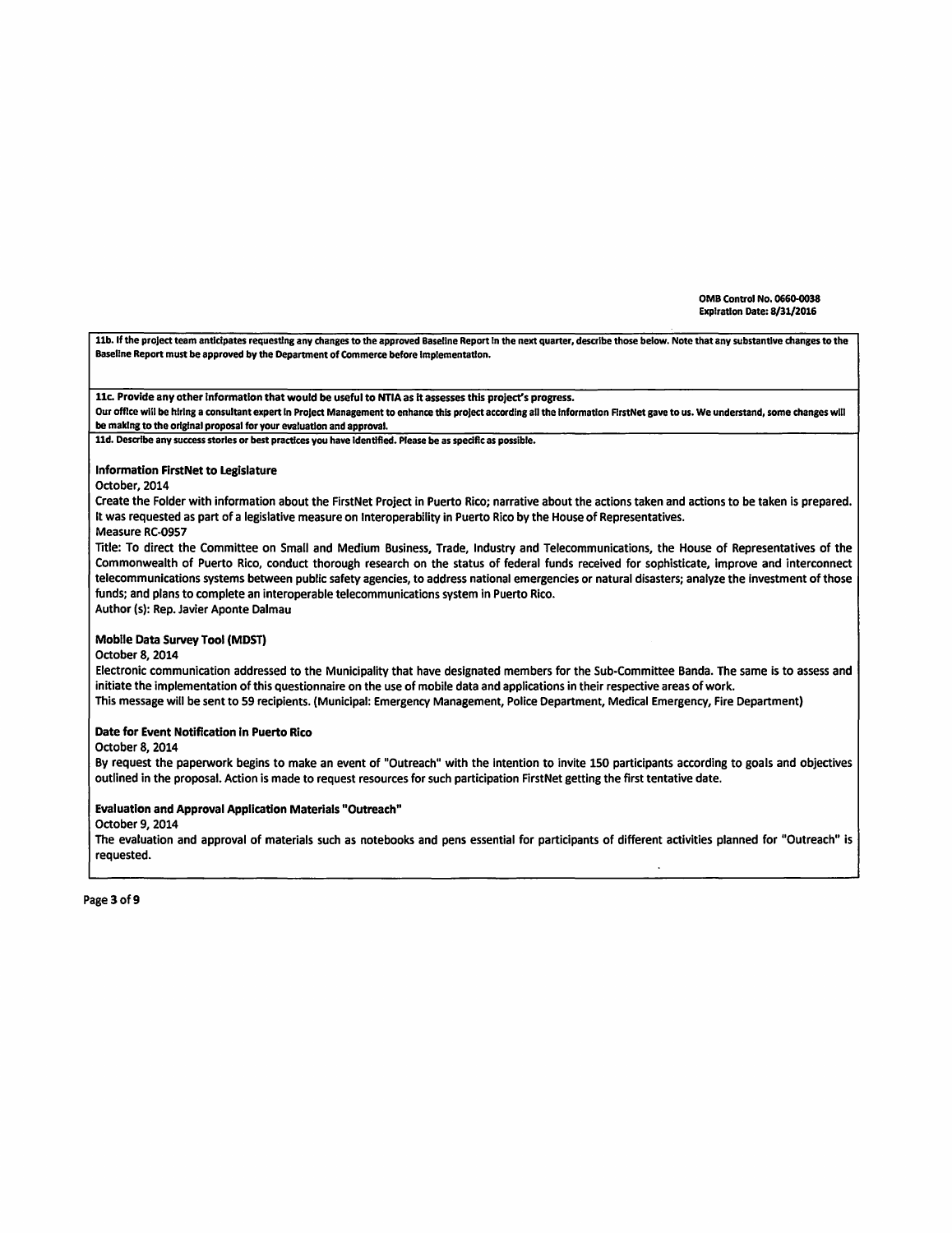11b. If the project team anticipates requesting any changes to the approved Baseline Report in the next quarter, describe those below. Note that any substantive changes to the Baseline Report must be approved by the Department of Commerce before Implementation.

11c. Provide any other information that would be useful to NTIA as it assesses this project's progress.

Our office will be hiring a consultant expert in Project Management to enhance this project according all the information FirstNet gave to us. We understand, some changes will be making to the original proposal for your evaluation and approval.

lld. Describe any success stories or best practices you have Identified. Please be as specific as possible.

# Information FirstNet to Legislature

#### October, 2014

Create the Folder with information about the FirstNet Project in Puerto Rico; narrative about the actions taken and actions to be taken is prepared. It was requested as part of a legislative measure on lnteroperability in Puerto Rico by the House of Representatives.

## Measure RC-0957

Title: To direct the Committee on Small and Medium Business, Trade, Industry and Telecommunications, the House of Representatives of the Commonwealth of Puerto Rico, conduct thorough research on the status of federal funds received for sophisticate, improve and interconnect telecommunications systems between public safety agencies, to address national emergencies or natural disasters; analyze the investment of those funds; and plans to complete an interoperable telecommunications system in Puerto Rico.

Author (s): Rep. Javier Aponte Dalmau

# Mobile Data Survey Tool (MOST)

### October 8, 2014

Electronic communication addressed to the Municipality that have designated members for the Sub-Committee Banda. The same is to assess and initiate the implementation of this questionnaire on the use of mobile data and applications in their respective areas of work. This message will be sent to 59 recipients. (Municipal: Emergency Management, Police Department, Medical Emergency, Fire Department)

### Date for Event Notification in Puerto Rico

October 8, 2014

By request the paperwork begins to make an event of "Outreach" with the intention to invite 150 participants according to goals and objectives outlined in the proposal. Action is made to request resources for such participation FirstNet getting the first tentative date.

### Evaluation and Approval Application Materials "Outreach"

#### October 9, 2014

The evaluation and approval of materials such as notebooks and pens essential for participants of different activities planned for "Outreach" is requested.

Page 3 of 9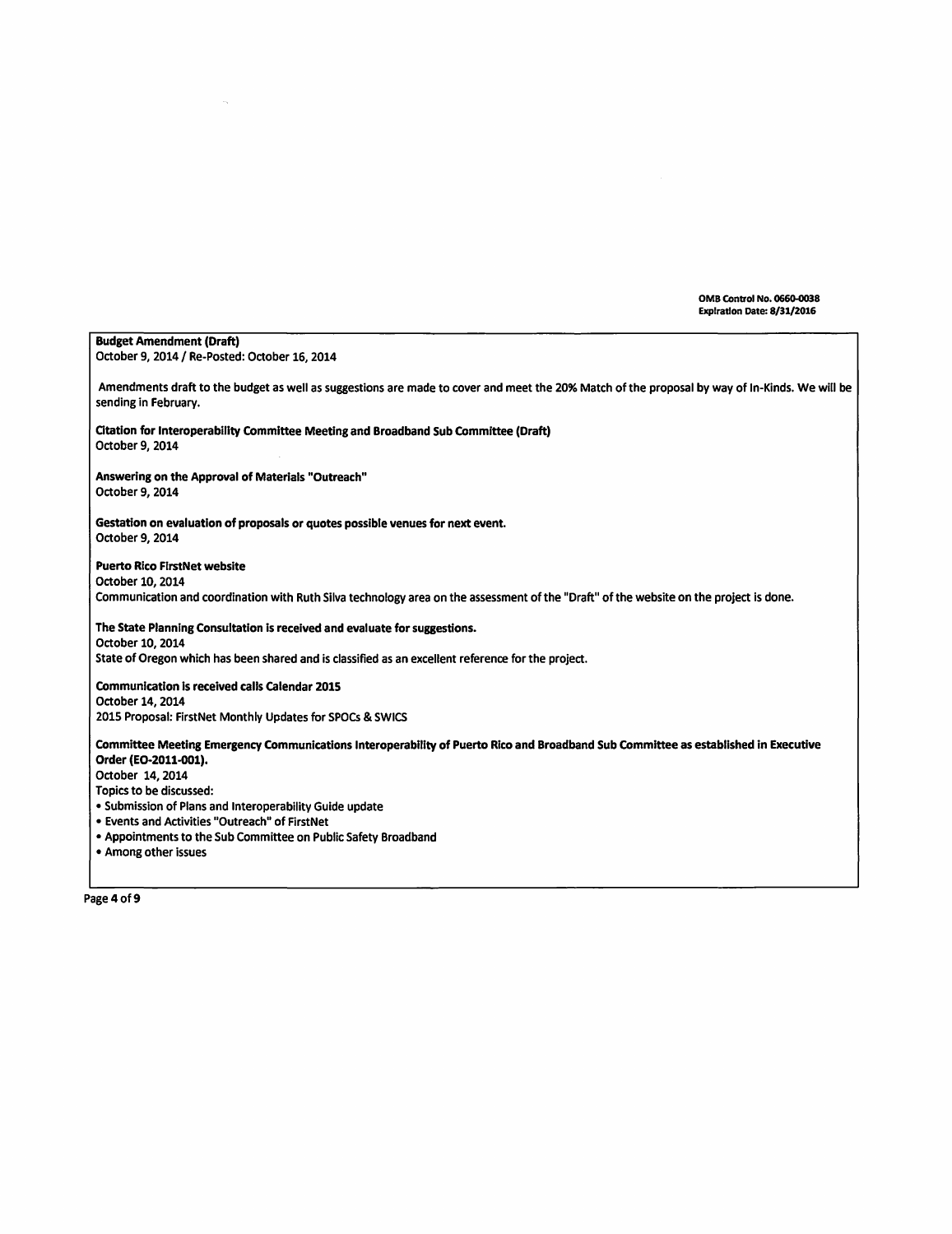٦

| <b>Budget Amendment (Draft)</b><br>October 9, 2014 / Re-Posted: October 16, 2014                                                                                      |
|-----------------------------------------------------------------------------------------------------------------------------------------------------------------------|
| Amendments draft to the budget as well as suggestions are made to cover and meet the 20% Match of the proposal by way of In-Kinds. We will be<br>sending in February. |
| Citation for Interoperability Committee Meeting and Broadband Sub Committee (Draft)<br>October 9, 2014                                                                |
| Answering on the Approval of Materials "Outreach"<br>October 9, 2014                                                                                                  |
| Gestation on evaluation of proposals or quotes possible venues for next event.<br>October 9, 2014                                                                     |
| <b>Puerto Rico FirstNet website</b>                                                                                                                                   |
| October 10, 2014                                                                                                                                                      |
| Communication and coordination with Ruth Silva technology area on the assessment of the "Draft" of the website on the project is done.                                |
| The State Planning Consultation is received and evaluate for suggestions.                                                                                             |
| October 10, 2014                                                                                                                                                      |
| State of Oregon which has been shared and is classified as an excellent reference for the project.                                                                    |
| <b>Communication is received calls Calendar 2015</b>                                                                                                                  |
| October 14, 2014                                                                                                                                                      |
| 2015 Proposal: FirstNet Monthly Updates for SPOCs & SWICS                                                                                                             |
| Committee Meeting Emergency Communications Interoperability of Puerto Rico and Broadband Sub Committee as established in Executive<br>Order (EO-2011-001).            |
| October 14, 2014                                                                                                                                                      |
| Topics to be discussed:                                                                                                                                               |
| • Submission of Plans and Interoperability Guide update                                                                                                               |
| . Events and Activities "Outreach" of FirstNet                                                                                                                        |
| • Appointments to the Sub Committee on Public Safety Broadband                                                                                                        |

• Among other issues

 $\hat{\mathcal{L}}_k$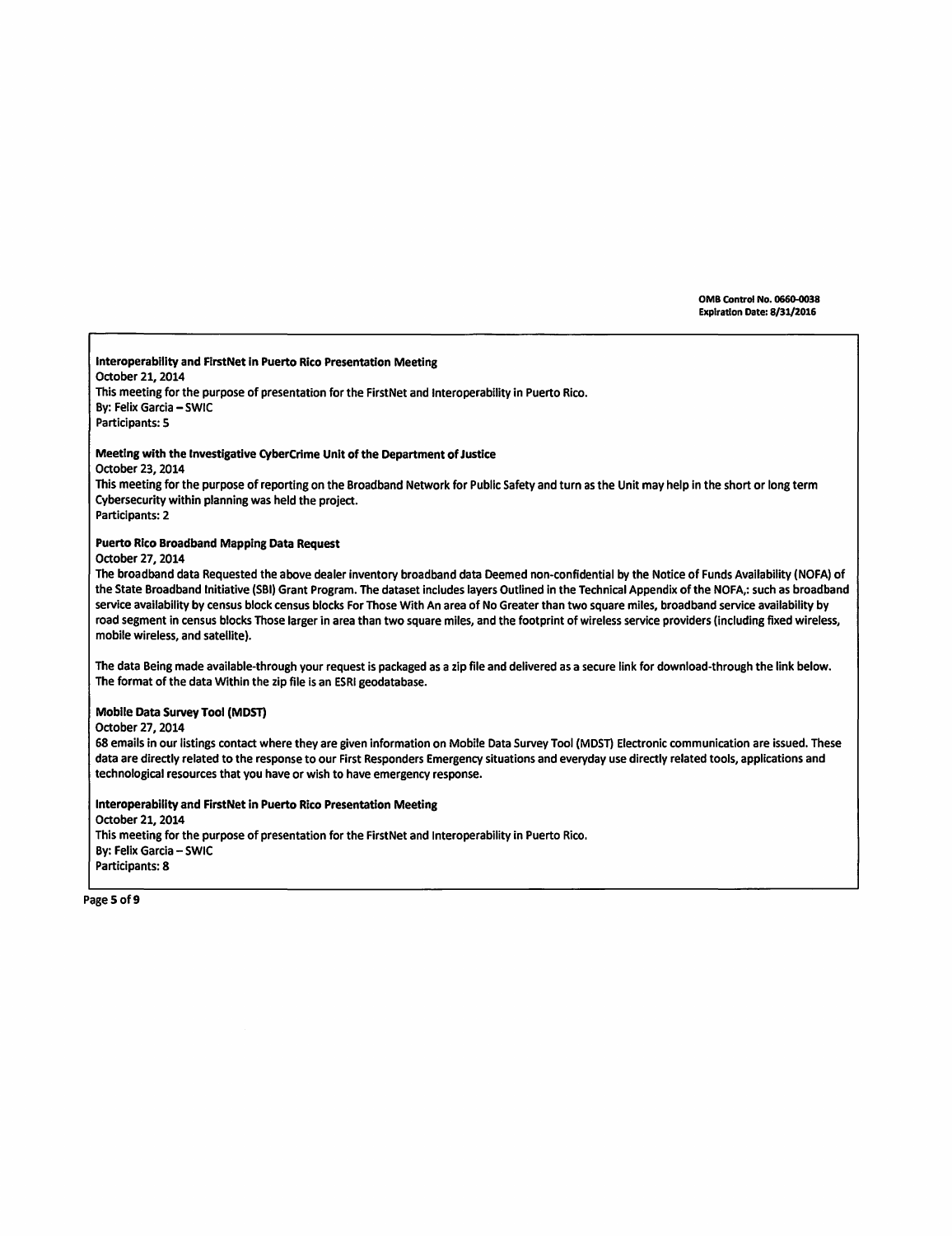lnteroperability and FirstNet In Puerto Rico Presentation Meeting October 21, 2014 This meeting for the purpose of presentation for the FirstNet and lnteroperability in Puerto Rico. By: Felix Garcia - SWIC Participants: 5 Meeting with the Investigative CyberCrime Unit of the Department of Justice October 23,2014 This meeting for the purpose of reporting on the Broadband Network for Public Safety and turn as the Unit may help in the short or long term Cybersecurity within planning was held the project. Participants: 2 Puerto Rico Broadband Mapping Data Request October 27, 2014 The broadband data Requested the above dealer inventory broadband data Deemed non-confidential by the Notice of Funds Availability (NOFA) of the State Broadband Initiative (SBI) Grant Program. The dataset includes layers Outlined in the Technical Appendix of the NOFA,: such as broadband service availability by census block census blocks For Those With An area of No Greater than two square miles, broadband service availability by road segment in census blocks Those larger in area than two square miles, and the footprint of wireless service providers (including fixed wireless, mobile wireless, and satellite). The data Being made available-through your request is packaged as a zip file and delivered as a secure link for download-through the link below. The format of the data Within the zip file is an ESRI geodatabase. Mobile Data Survey Tool (MDST) October 27, 2014 68 emails in our listings contact where they are given information on Mobile Data Survey Tool (MOST) Electronic communication are issued. These data are directly related to the response to our First Responders Emergency situations and everyday use directly related tools, applications and technological resources that you have or wish to have emergency response. lnteroperabllity and FirstNet in Puerto Rico Presentation Meeting October 21, 2014 This meeting for the purpose of presentation for the FirstNet and Interoperability in Puerto Rico. By: Felix Garcia - SWIC Participants: 8

Page 5 of 9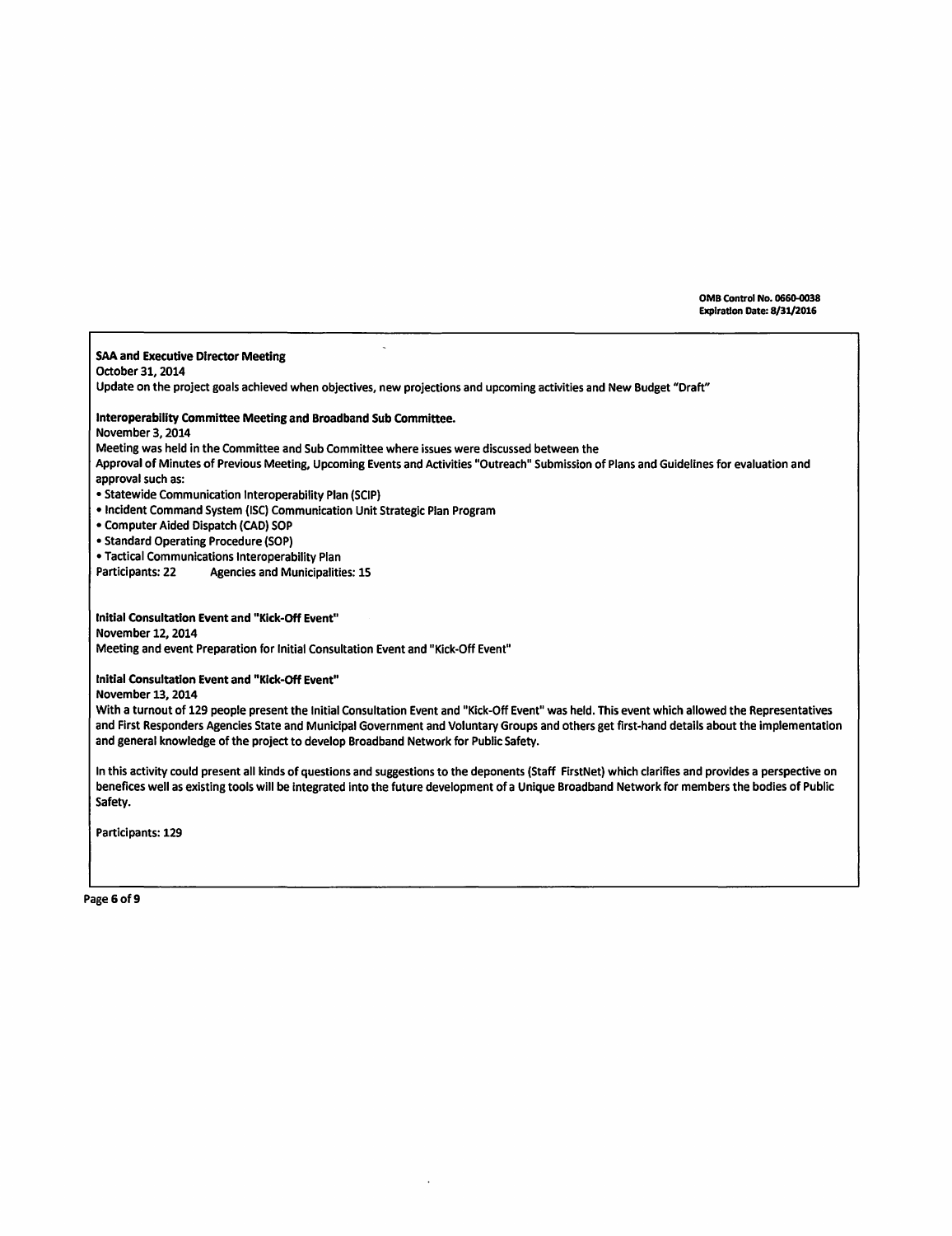SAA and Executive Director Meeting October 31, 2014 Update on the project goals achieved when objectives, new projections and upcoming activities and New Budget "Draft" lnteroperability Committee Meeting and Broadband Sub Committee. November 3, 2014 Meeting was held in the Committee and Sub Committee where issues were discussed between the Approval of Minutes of Previous Meeting, Upcoming Events and Activities "Outreach" Submission of Plans and Guidelines for evaluation and approval such as: • Statewide Communication lnteroperability Plan (SCIP) • Incident Command System (ISC) Communication Unit Strategic Plan Program • Computer Aided Dispatch (CAD) SOP • Standard Operating Procedure (SOP) • Tactical Communications lnteroperability Plan Participants: 22 Agencies and Municipalities: 15 Initial Consultation Event and "Kick-Off Event" November 12, 2014 Meeting and event Preparation for Initial Consultation Event and "Kick-Off Event" Initial Consultation Event and "Kick-Off Event" November 13, 2014 With a turnout of 129 people present the Initial Consultation Event and "Kick-Off Event" was held. This event which allowed the Representatives and First Responders Agencies State and Municipal Government and Voluntary Groups and others get first-hand details about the implementation and general knowledge of the project to develop Broadband Network for Public Safety.

In this activity could present all kinds of questions and suggestions to the deponents (Staff FirstNet) which clarifies and provides a perspective on benefices well as existing tools will be integrated into the future development of a Unique Broadband Network for members the bodies of Public Safety.

Participants: 129

Page 6 of 9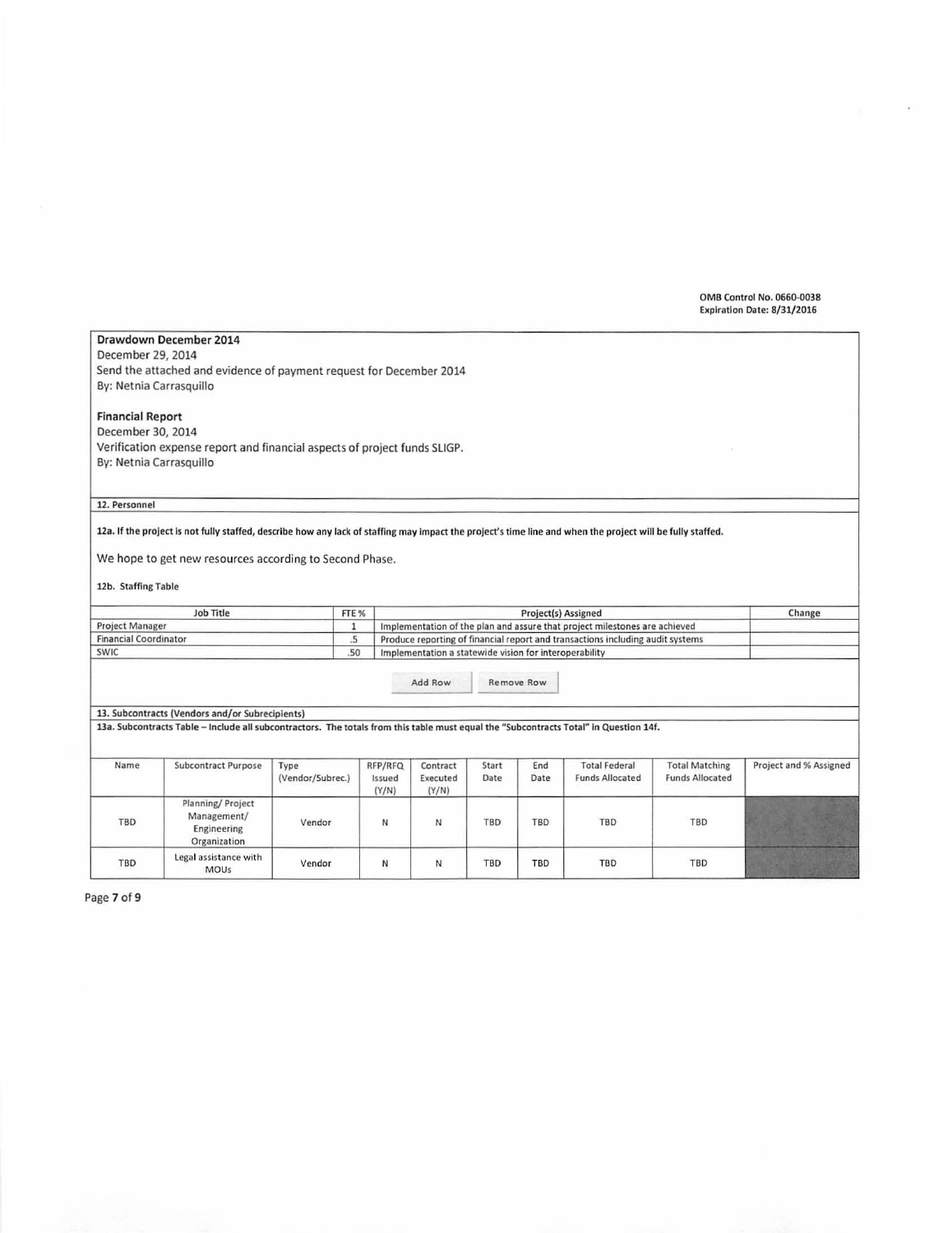## Drawdown December 2014 December 29, 2014 Send the attached and evidence of payment request for December 2014 By: Netnia Carrasquillo Financial Report December 30, 2014 Verification expense report and financial aspects of project funds SLIGP. By: Netnia Carrasquillo 12. Personnel 12a. If the project is not fully staffed, describe how any lack of staffing may impact the project's time line and when the project will be fully staffed. We hope to get new resources according to Second Phase. 12b. Staffing Table Job Title FTE % Project(s) Assigned Change Project Manager Implementation of the plan and assure that project milestones are achieved  $\mathbf{1}$ **Financial Coordinator**  $\overline{5}$ Produce reporting of financial report and transactions including audit systems **SWIC** .50 Implementation a statewide vision for interoperability Add Row Remove Row 13. Subcontracts (Vendors and/or Subrecipients) 13a. Subcontracts Table - Include all subcontractors. The totals from this table must equal the "Subcontracts Total" in Question 14f. Name Subcontract Purpose Type RFP/RFQ Contract Start End Total Federal Total Matching Project and %Assigned<br>(Vendor/Subrec.) Issued Executed Date Date Funds Allocated Funds Allocated (Vendor/Subrec.) Issued Execute<br>  $(Y/N)$  Execute Planning/ Project TBD Management/ **Vendor N** N N TBD TBD TBD TBD TBD<br>Engineering Organization TBD Legal assistance with **Vendor** N N N TBD TBD TBD TBD TBD TBD

Page 7 of 9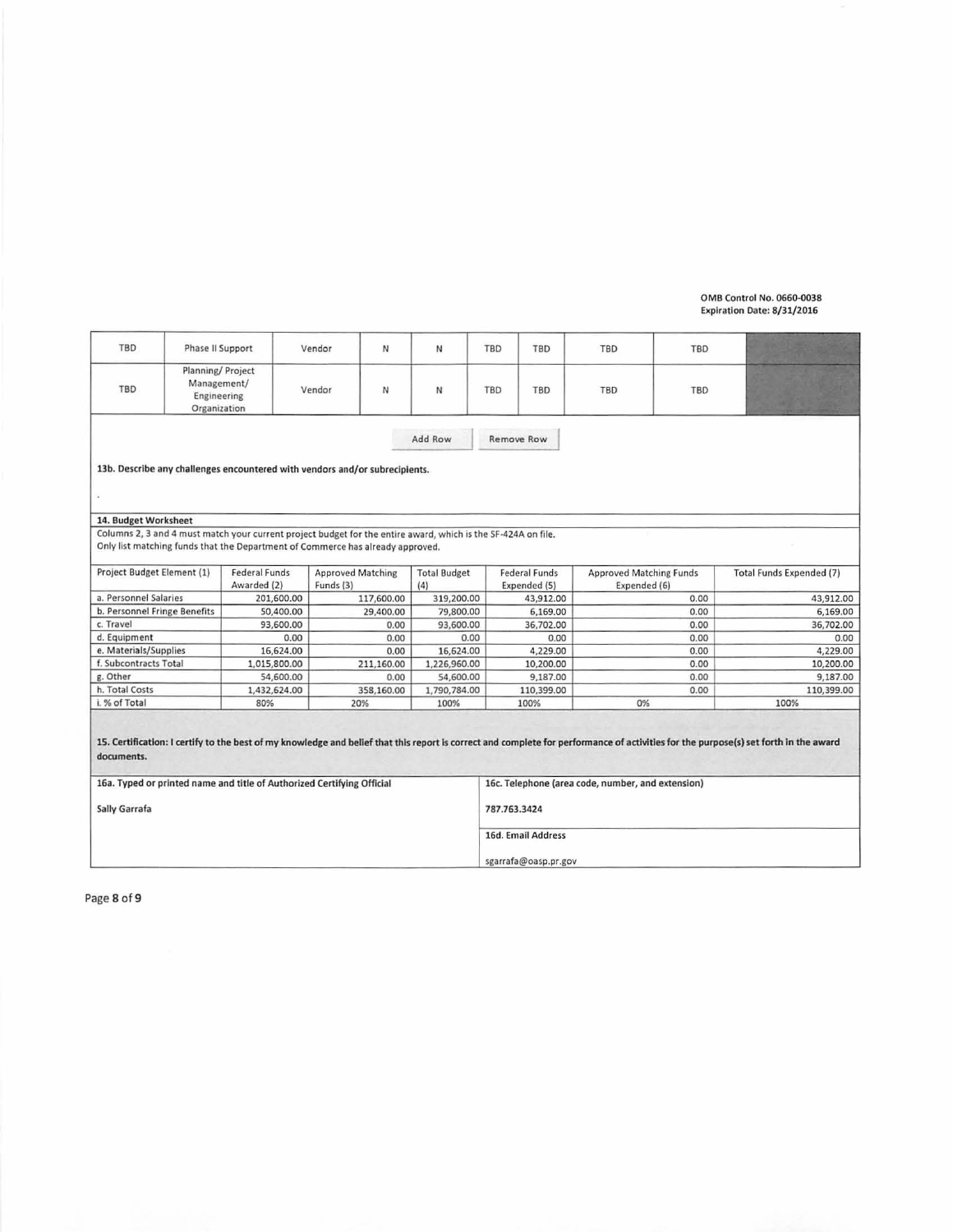| TBD                                                                    | Phase II Support                                                |                      | Vendor<br>N                                                                                                   | N                   | TBD                                               | TBD               | TBD                            | TBD |                                                                                                                                                                                      |
|------------------------------------------------------------------------|-----------------------------------------------------------------|----------------------|---------------------------------------------------------------------------------------------------------------|---------------------|---------------------------------------------------|-------------------|--------------------------------|-----|--------------------------------------------------------------------------------------------------------------------------------------------------------------------------------------|
| TBD                                                                    | Planning/ Project<br>Management/<br>Engineering<br>Organization |                      | N<br>Vendor                                                                                                   | N                   | TBD                                               | <b>TBD</b>        | TBD                            | TBD |                                                                                                                                                                                      |
| Add Row                                                                |                                                                 |                      |                                                                                                               |                     |                                                   | <b>Remove Row</b> |                                |     |                                                                                                                                                                                      |
|                                                                        |                                                                 |                      | 13b. Describe any challenges encountered with vendors and/or subrecipients.                                   |                     |                                                   |                   |                                |     |                                                                                                                                                                                      |
|                                                                        |                                                                 |                      |                                                                                                               |                     |                                                   |                   |                                |     |                                                                                                                                                                                      |
| 14. Budget Worksheet                                                   |                                                                 |                      |                                                                                                               |                     |                                                   |                   |                                |     |                                                                                                                                                                                      |
|                                                                        |                                                                 |                      | Columns 2, 3 and 4 must match your current project budget for the entire award, which is the SF-424A on file. |                     |                                                   |                   |                                |     |                                                                                                                                                                                      |
|                                                                        |                                                                 |                      | Only list matching funds that the Department of Commerce has already approved.                                |                     |                                                   |                   |                                |     |                                                                                                                                                                                      |
|                                                                        |                                                                 |                      |                                                                                                               |                     |                                                   |                   |                                |     |                                                                                                                                                                                      |
| Project Budget Element (1)                                             |                                                                 | <b>Federal Funds</b> | <b>Approved Matching</b>                                                                                      | <b>Total Budget</b> | <b>Federal Funds</b>                              |                   | <b>Approved Matching Funds</b> |     | <b>Total Funds Expended (7)</b>                                                                                                                                                      |
|                                                                        |                                                                 | Awarded (2)          | Funds (3)                                                                                                     | (4)                 | Expended (5)                                      | Expended (6)      |                                |     |                                                                                                                                                                                      |
| a. Personnel Salaries                                                  |                                                                 | 201,600.00           | 117,600.00                                                                                                    | 319,200.00          |                                                   | 43,912.00         | 0.00                           |     | 43,912.00                                                                                                                                                                            |
| b. Personnel Fringe Benefits                                           |                                                                 | 50,400.00            | 29,400.00                                                                                                     | 79,800.00           |                                                   | 6,169.00          | 0.00                           |     | 6,169.00                                                                                                                                                                             |
| c. Travel                                                              |                                                                 | 93,600.00            | 0.00                                                                                                          | 93,600.00           |                                                   | 36,702.00         | 0.00                           |     | 36,702.00                                                                                                                                                                            |
| d. Equipment                                                           |                                                                 | 0.00                 | 0.00                                                                                                          | 0.00                |                                                   | 0.00              | 0.00                           |     | 0.00                                                                                                                                                                                 |
| e. Materials/Supplies                                                  |                                                                 | 16,624.00            | 0.00                                                                                                          | 16,624.00           |                                                   | 4,229.00          | 0.00                           |     | 4,229.00                                                                                                                                                                             |
| f. Subcontracts Total                                                  |                                                                 | 1,015,800.00         | 211,160.00                                                                                                    | 1,226,960.00        |                                                   | 10,200.00         | 0.00                           |     | 10,200.00                                                                                                                                                                            |
| g. Other                                                               |                                                                 | 54,600.00            | 0.00                                                                                                          | 54,600.00           |                                                   | 9,187.00          | 0.00                           |     | 9,187.00                                                                                                                                                                             |
| h. Total Costs                                                         |                                                                 | 1,432,624.00         | 358,160.00                                                                                                    | 1,790,784.00        |                                                   | 110,399.00        | 0.00                           |     | 110,399.00                                                                                                                                                                           |
| i. % of Total                                                          |                                                                 | 80%                  | 20%                                                                                                           | 100%                | 100%                                              |                   | 0%                             |     | 100%                                                                                                                                                                                 |
| documents.                                                             |                                                                 |                      |                                                                                                               |                     |                                                   |                   |                                |     | 15. Certification: I certify to the best of my knowledge and belief that this report is correct and complete for performance of activities for the purpose(s) set forth in the award |
| 16a. Typed or printed name and title of Authorized Certifying Official |                                                                 |                      |                                                                                                               |                     | 16c. Telephone (area code, number, and extension) |                   |                                |     |                                                                                                                                                                                      |
| Sally Garrafa                                                          |                                                                 |                      |                                                                                                               |                     | 787.763.3424                                      |                   |                                |     |                                                                                                                                                                                      |
|                                                                        |                                                                 |                      |                                                                                                               |                     | 16d. Email Address                                |                   |                                |     |                                                                                                                                                                                      |
|                                                                        |                                                                 |                      |                                                                                                               |                     | sgarrafa@oasp.pr.gov                              |                   |                                |     |                                                                                                                                                                                      |

Page 8 of 9